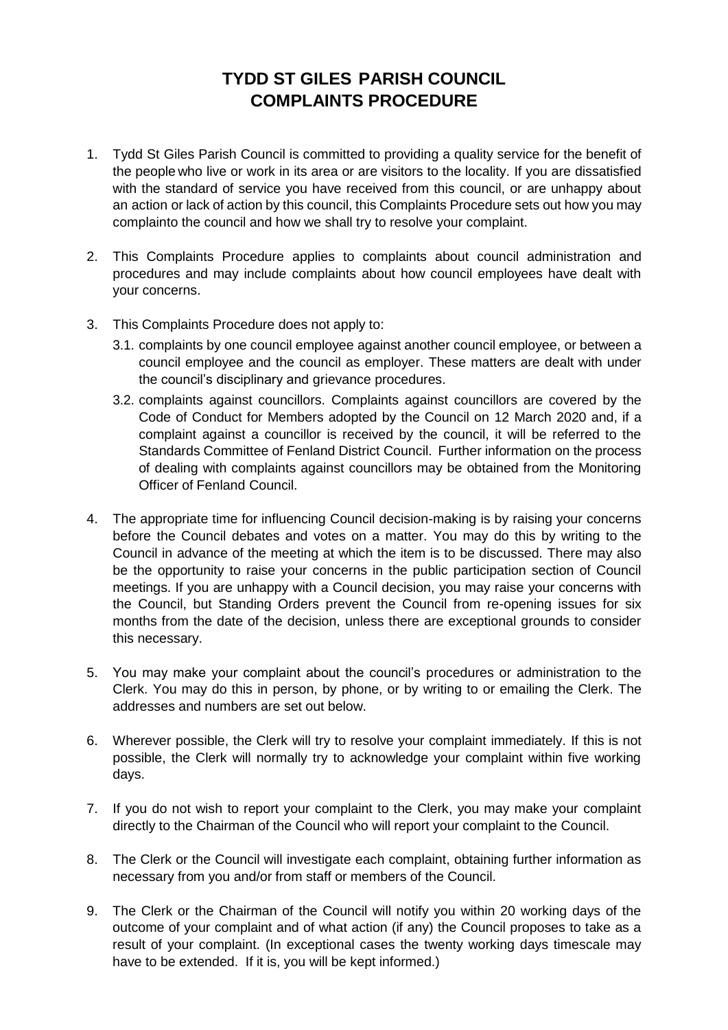## **TYDD ST GILES PARISH COUNCIL COMPLAINTS PROCEDURE**

- 1. Tydd St Giles Parish Council is committed to providing a quality service for the benefit of the people who live or work in its area or are visitors to the locality. If you are dissatisfied with the standard of service you have received from this council, or are unhappy about an action or lack of action by this council, this Complaints Procedure sets out how you may complainto the council and how we shall try to resolve your complaint.
- 2. This Complaints Procedure applies to complaints about council administration and procedures and may include complaints about how council employees have dealt with your concerns.
- 3. This Complaints Procedure does not apply to:
	- 3.1. complaints by one council employee against another council employee, or between a council employee and the council as employer. These matters are dealt with under the council's disciplinary and grievance procedures.
	- 3.2. complaints against councillors. Complaints against councillors are covered by the Code of Conduct for Members adopted by the Council on 12 March 2020 and, if a complaint against a councillor is received by the council, it will be referred to the Standards Committee of Fenland District Council. Further information on the process of dealing with complaints against councillors may be obtained from the Monitoring Officer of Fenland Council.
- 4. The appropriate time for influencing Council decision-making is by raising your concerns before the Council debates and votes on a matter. You may do this by writing to the Council in advance of the meeting at which the item is to be discussed. There may also be the opportunity to raise your concerns in the public participation section of Council meetings. If you are unhappy with a Council decision, you may raise your concerns with the Council, but Standing Orders prevent the Council from re-opening issues for six months from the date of the decision, unless there are exceptional grounds to consider this necessary.
- 5. You may make your complaint about the council's procedures or administration to the Clerk. You may do this in person, by phone, or by writing to or emailing the Clerk. The addresses and numbers are set out below.
- 6. Wherever possible, the Clerk will try to resolve your complaint immediately. If this is not possible, the Clerk will normally try to acknowledge your complaint within five working days.
- 7. If you do not wish to report your complaint to the Clerk, you may make your complaint directly to the Chairman of the Council who will report your complaint to the Council.
- 8. The Clerk or the Council will investigate each complaint, obtaining further information as necessary from you and/or from staff or members of the Council.
- 9. The Clerk or the Chairman of the Council will notify you within 20 working days of the outcome of your complaint and of what action (if any) the Council proposes to take as a result of your complaint. (In exceptional cases the twenty working days timescale may have to be extended. If it is, you will be kept informed.)